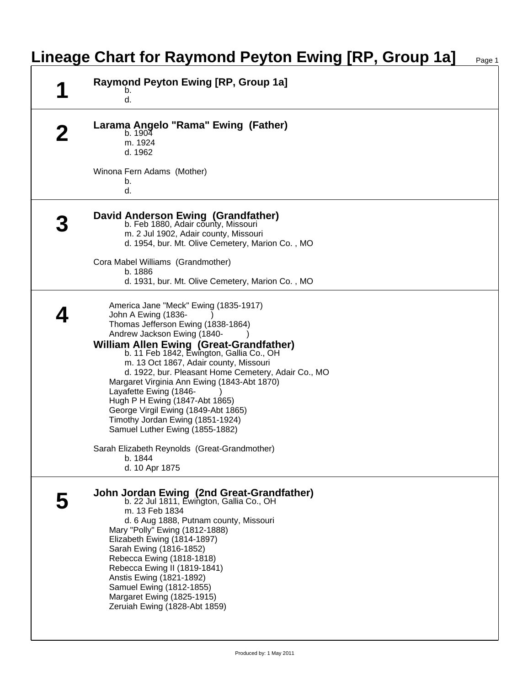|  | Raymond Peyton Ewing [RP, Group 1a]<br>b.<br>d.                                                                                                                                                                                                                                                                                                                                                                                                                                                                 |
|--|-----------------------------------------------------------------------------------------------------------------------------------------------------------------------------------------------------------------------------------------------------------------------------------------------------------------------------------------------------------------------------------------------------------------------------------------------------------------------------------------------------------------|
|  | Larama Angelo "Rama" Ewing (Father)<br>b. 1904<br>m. 1924<br>d. 1962                                                                                                                                                                                                                                                                                                                                                                                                                                            |
|  | Winona Fern Adams (Mother)<br>b.<br>d.                                                                                                                                                                                                                                                                                                                                                                                                                                                                          |
|  | David Anderson Ewing (Grandfather)<br>b. Feb 1880, Adair county, Missouri<br>m. 2 Jul 1902, Adair county, Missouri<br>d. 1954, bur. Mt. Olive Cemetery, Marion Co., MO                                                                                                                                                                                                                                                                                                                                          |
|  | Cora Mabel Williams (Grandmother)<br>b. 1886<br>d. 1931, bur. Mt. Olive Cemetery, Marion Co., MO                                                                                                                                                                                                                                                                                                                                                                                                                |
|  | America Jane "Meck" Ewing (1835-1917)<br>John A Ewing (1836-<br>Thomas Jefferson Ewing (1838-1864)<br>Andrew Jackson Ewing (1840-<br>William Allen Ewing (Great-Grandfather)<br>b. 11 Feb 1842, Ewington, Gallia Co., OH<br>m. 13 Oct 1867, Adair county, Missouri<br>d. 1922, bur. Pleasant Home Cemetery, Adair Co., MO<br>Margaret Virginia Ann Ewing (1843-Abt 1870)<br>Layafette Ewing (1846-<br>Hugh P H Ewing (1847-Abt 1865)<br>George Virgil Ewing (1849-Abt 1865)<br>Timothy Jordan Ewing (1851-1924) |
|  | Samuel Luther Ewing (1855-1882)<br>Sarah Elizabeth Reynolds (Great-Grandmother)<br>b. 1844<br>d. 10 Apr 1875                                                                                                                                                                                                                                                                                                                                                                                                    |
|  | John Jordan Ewing (2nd Great-Grandfather)<br>b. 22 Jul 1811, Ewington, Gallia Co., OH<br>m. 13 Feb 1834<br>d. 6 Aug 1888, Putnam county, Missouri<br>Mary "Polly" Ewing (1812-1888)<br>Elizabeth Ewing (1814-1897)<br>Sarah Ewing (1816-1852)<br>Rebecca Ewing (1818-1818)<br>Rebecca Ewing II (1819-1841)<br>Anstis Ewing (1821-1892)<br>Samuel Ewing (1812-1855)<br>Margaret Ewing (1825-1915)<br>Zeruiah Ewing (1828-Abt 1859)                                                                               |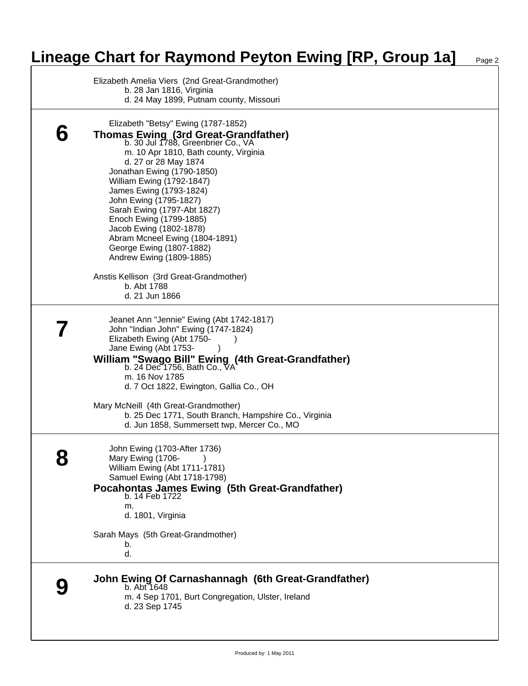## **Lineage Chart for Raymond Peyton Ewing [RP, Group 1a]** Page 2

|   | Elizabeth Amelia Viers (2nd Great-Grandmother)<br>b. 28 Jan 1816, Virginia<br>d. 24 May 1899, Putnam county, Missouri                                                                                                                                                                                                                                                                                                                                                                                                                                                       |
|---|-----------------------------------------------------------------------------------------------------------------------------------------------------------------------------------------------------------------------------------------------------------------------------------------------------------------------------------------------------------------------------------------------------------------------------------------------------------------------------------------------------------------------------------------------------------------------------|
| b | Elizabeth "Betsy" Ewing (1787-1852)<br><b>Thomas Ewing (3rd Great-Grandfather)</b><br>b. 30 Jul 1788, Greenbrier Co., VA<br>m. 10 Apr 1810, Bath county, Virginia<br>d. 27 or 28 May 1874<br>Jonathan Ewing (1790-1850)<br><b>William Ewing (1792-1847)</b><br>James Ewing (1793-1824)<br>John Ewing (1795-1827)<br>Sarah Ewing (1797-Abt 1827)<br>Enoch Ewing (1799-1885)<br>Jacob Ewing (1802-1878)<br>Abram Mcneel Ewing (1804-1891)<br>George Ewing (1807-1882)<br>Andrew Ewing (1809-1885)<br>Anstis Kellison (3rd Great-Grandmother)<br>b. Abt 1788<br>d. 21 Jun 1866 |
|   | Jeanet Ann "Jennie" Ewing (Abt 1742-1817)<br>John "Indian John" Ewing (1747-1824)<br>Elizabeth Ewing (Abt 1750-<br>Jane Ewing (Abt 1753-<br>William "Swago Bill" Ewing (4th Great-Grandfather)<br>b. 24 Dec 1756, Bath Co., VA<br>m. 16 Nov 1785<br>d. 7 Oct 1822, Ewington, Gallia Co., OH<br>Mary McNeill (4th Great-Grandmother)<br>b. 25 Dec 1771, South Branch, Hampshire Co., Virginia<br>d. Jun 1858, Summersett twp, Mercer Co., MO                                                                                                                                 |
| U | John Ewing (1703-After 1736)<br>Mary Ewing (1706-)<br>William Ewing (Abt 1711-1781)<br>Samuel Ewing (Abt 1718-1798)<br>Pocahontas James Ewing (5th Great-Grandfather)<br>b. 14 Feb 1722<br>m.<br>d. 1801, Virginia<br>Sarah Mays (5th Great-Grandmother)<br>b.<br>d.                                                                                                                                                                                                                                                                                                        |
|   | John Ewing Of Carnashannagh (6th Great-Grandfather)<br>b. Abt 1648<br>m. 4 Sep 1701, Burt Congregation, Ulster, Ireland<br>d. 23 Sep 1745                                                                                                                                                                                                                                                                                                                                                                                                                                   |